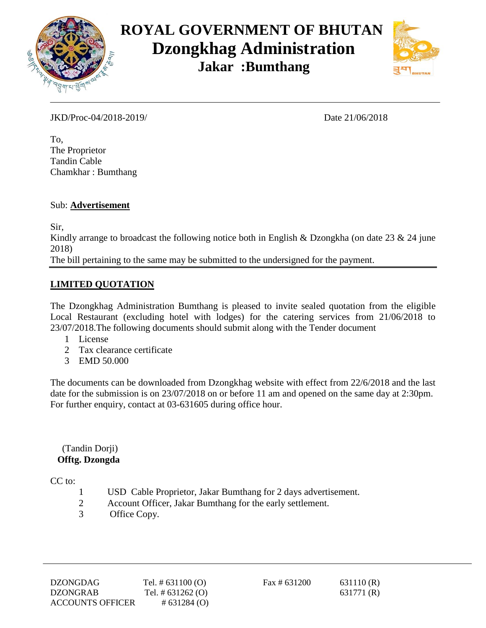



JKD/Proc-04/2018-2019/ Date 21/06/2018

To, The Proprietor Tandin Cable Chamkhar : Bumthang

#### Sub: **Advertisement**

Sir,

Kindly arrange to broadcast the following notice both in English & Dzongkha (on date 23 & 24 june 2018)

The bill pertaining to the same may be submitted to the undersigned for the payment.

#### **LIMITED QUOTATION**

The Dzongkhag Administration Bumthang is pleased to invite sealed quotation from the eligible Local Restaurant (excluding hotel with lodges) for the catering services from 21/06/2018 to 23/07/2018.The following documents should submit along with the Tender document

- 1 License
- 2 Tax clearance certificate
- 3 EMD 50.000

The documents can be downloaded from Dzongkhag website with effect from 22/6/2018 and the last date for the submission is on 23/07/2018 on or before 11 am and opened on the same day at 2:30pm. For further enquiry, contact at 03-631605 during office hour.

#### (Tandin Dorji)  **Offtg. Dzongda**

CC to:

- 1 USD Cable Proprietor, Jakar Bumthang for 2 days advertisement.
- 2 Account Officer, Jakar Bumthang for the early settlement.
- 3 Office Copy.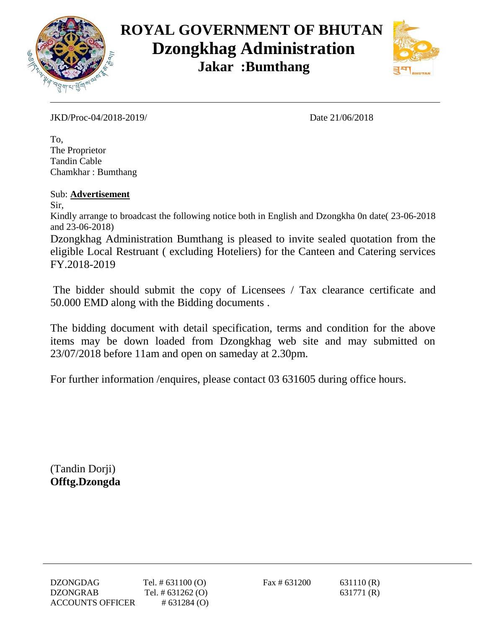



JKD/Proc-04/2018-2019/ Date 21/06/2018

To, The Proprietor Tandin Cable Chamkhar : Bumthang

Sub: **Advertisement**

Sir,

Kindly arrange to broadcast the following notice both in English and Dzongkha 0n date( 23-06-2018 and 23-06-2018)

Dzongkhag Administration Bumthang is pleased to invite sealed quotation from the eligible Local Restruant ( excluding Hoteliers) for the Canteen and Catering services FY.2018-2019

The bidder should submit the copy of Licensees / Tax clearance certificate and 50.000 EMD along with the Bidding documents .

The bidding document with detail specification, terms and condition for the above items may be down loaded from Dzongkhag web site and may submitted on 23/07/2018 before 11am and open on sameday at 2.30pm.

For further information /enquires, please contact 03 631605 during office hours.

(Tandin Dorji) **Offtg.Dzongda**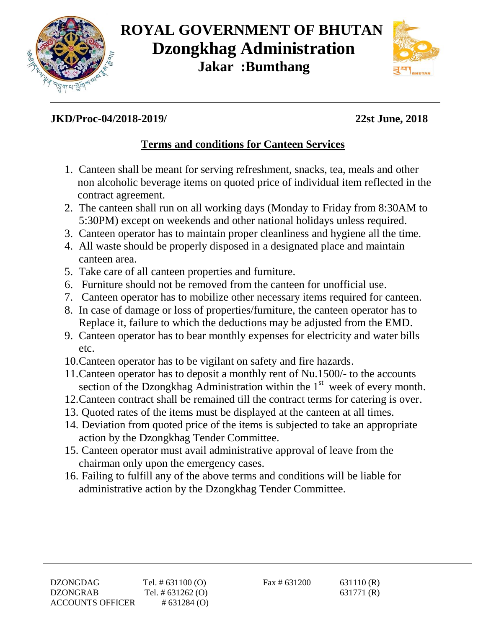



### **JKD/Proc-04/2018-2019/ 22st June, 2018**

## **Terms and conditions for Canteen Services**

- 1. Canteen shall be meant for serving refreshment, snacks, tea, meals and other non alcoholic beverage items on quoted price of individual item reflected in the contract agreement.
- 2. The canteen shall run on all working days (Monday to Friday from 8:30AM to 5:30PM) except on weekends and other national holidays unless required.
- 3. Canteen operator has to maintain proper cleanliness and hygiene all the time.
- 4. All waste should be properly disposed in a designated place and maintain canteen area.
- 5. Take care of all canteen properties and furniture.
- 6. Furniture should not be removed from the canteen for unofficial use.
- 7. Canteen operator has to mobilize other necessary items required for canteen.
- 8. In case of damage or loss of properties/furniture, the canteen operator has to Replace it, failure to which the deductions may be adjusted from the EMD.
- 9. Canteen operator has to bear monthly expenses for electricity and water bills etc.
- 10.Canteen operator has to be vigilant on safety and fire hazards.
- 11.Canteen operator has to deposit a monthly rent of Nu.1500/- to the accounts section of the Dzongkhag Administration within the  $1<sup>st</sup>$  week of every month.
- 12.Canteen contract shall be remained till the contract terms for catering is over.
- 13. Quoted rates of the items must be displayed at the canteen at all times.
- 14. Deviation from quoted price of the items is subjected to take an appropriate action by the Dzongkhag Tender Committee.
- 15. Canteen operator must avail administrative approval of leave from the chairman only upon the emergency cases.
- 16. Failing to fulfill any of the above terms and conditions will be liable for administrative action by the Dzongkhag Tender Committee.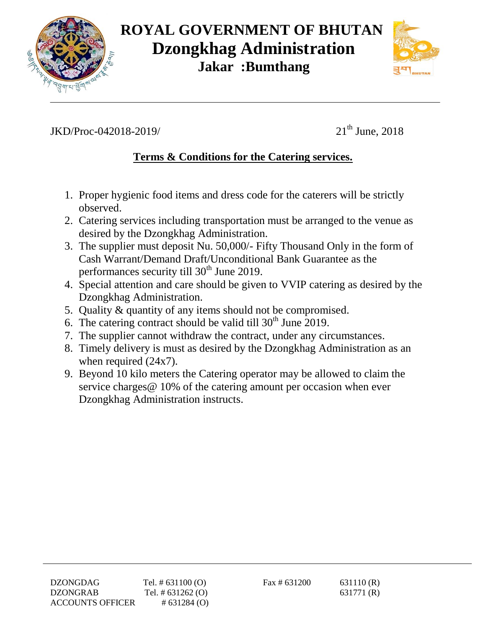



## JKD/Proc-042018-2019/

 $21<sup>th</sup>$  June, 2018

### **Terms & Conditions for the Catering services.**

- 1. Proper hygienic food items and dress code for the caterers will be strictly observed.
- 2. Catering services including transportation must be arranged to the venue as desired by the Dzongkhag Administration.
- 3. The supplier must deposit Nu. 50,000/- Fifty Thousand Only in the form of Cash Warrant/Demand Draft/Unconditional Bank Guarantee as the performances security till  $30<sup>th</sup>$  June 2019.
- 4. Special attention and care should be given to VVIP catering as desired by the Dzongkhag Administration.
- 5. Quality & quantity of any items should not be compromised.
- 6. The catering contract should be valid till  $30<sup>th</sup>$  June 2019.
- 7. The supplier cannot withdraw the contract, under any circumstances.
- 8. Timely delivery is must as desired by the Dzongkhag Administration as an when required (24x7).
- 9. Beyond 10 kilo meters the Catering operator may be allowed to claim the service charges@ 10% of the catering amount per occasion when ever Dzongkhag Administration instructs.